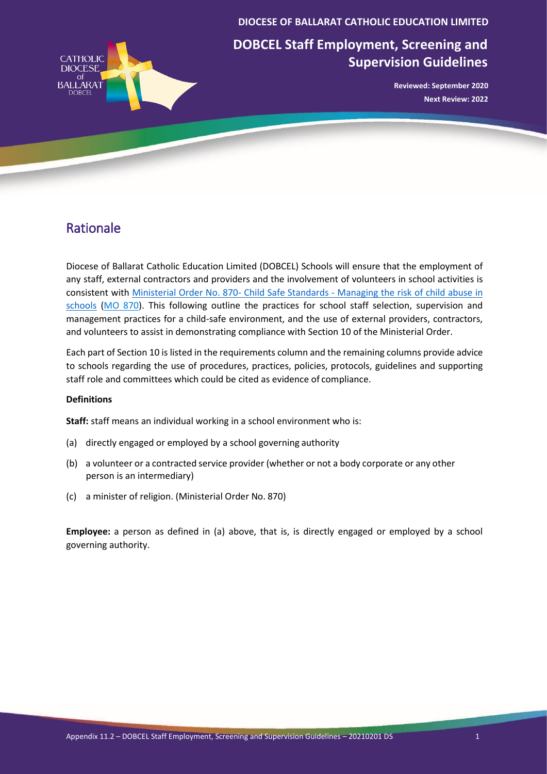

**DIOCESE OF BALLARAT CATHOLIC EDUCATION LIMITED**

**DOBCEL Staff Employment, Screening and Supervision Guidelines**

> **Reviewed: September 2020 Next Review: 2022**

## Rationale

Diocese of Ballarat Catholic Education Limited (DOBCEL) Schools will ensure that the employment of any staff, external contractors and providers and the involvement of volunteers in school activities is consistent with Ministerial Order No. 870- Child Safe Standards - Managing the risk of child abuse in schools (MO 870). This following outline the practices for school staff selection, supervision and management practices for a child-safe environment, and the use of external providers, contractors, and volunteers to assist in demonstrating compliance with Section 10 of the Ministerial Order.

Each part of Section 10 is listed in the requirements column and the remaining columns provide advice to schools regarding the use of procedures, practices, policies, protocols, guidelines and supporting staff role and committees which could be cited as evidence of compliance.

## **Definitions**

**Staff:** staff means an individual working in a school environment who is:

- (a) directly engaged or employed by a school governing authority
- (b) a volunteer or a contracted service provider (whether or not a body corporate or any other person is an intermediary)
- (c) a minister of religion. (Ministerial Order No. 870)

**Employee:** a person as defined in (a) above, that is, is directly engaged or employed by a school governing authority.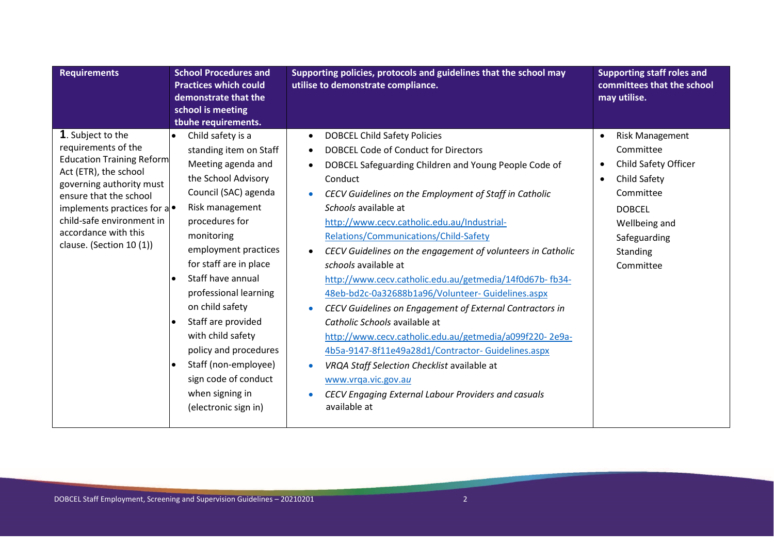| <b>Requirements</b>                                                                                                                                                                                                                                                        | <b>School Procedures and</b><br><b>Practices which could</b><br>demonstrate that the<br>school is meeting                                                                                                                                                                                                                                                                                                                                                                                                           | Supporting policies, protocols and guidelines that the school may<br>utilise to demonstrate compliance.                                                                                                                                                                                                                                                                                                                                                                                                                                                                                                                                                                                                                                                                                                                                                                                                                                                                                            | <b>Supporting staff roles and</b><br>committees that the school<br>may utilise.                                                                                                                            |
|----------------------------------------------------------------------------------------------------------------------------------------------------------------------------------------------------------------------------------------------------------------------------|---------------------------------------------------------------------------------------------------------------------------------------------------------------------------------------------------------------------------------------------------------------------------------------------------------------------------------------------------------------------------------------------------------------------------------------------------------------------------------------------------------------------|----------------------------------------------------------------------------------------------------------------------------------------------------------------------------------------------------------------------------------------------------------------------------------------------------------------------------------------------------------------------------------------------------------------------------------------------------------------------------------------------------------------------------------------------------------------------------------------------------------------------------------------------------------------------------------------------------------------------------------------------------------------------------------------------------------------------------------------------------------------------------------------------------------------------------------------------------------------------------------------------------|------------------------------------------------------------------------------------------------------------------------------------------------------------------------------------------------------------|
| 1. Subject to the<br>requirements of the<br><b>Education Training Reform</b><br>Act (ETR), the school<br>governing authority must<br>ensure that the school<br>implements practices for a<br>child-safe environment in<br>accordance with this<br>clause. (Section 10 (1)) | tbuhe requirements.<br>Child safety is a<br>$\bullet$<br>standing item on Staff<br>Meeting agenda and<br>the School Advisory<br>Council (SAC) agenda<br>Risk management<br>procedures for<br>monitoring<br>employment practices<br>for staff are in place<br>Staff have annual<br>professional learning<br>on child safety<br>Staff are provided<br>$\bullet$<br>with child safety<br>policy and procedures<br>Staff (non-employee)<br>$\bullet$<br>sign code of conduct<br>when signing in<br>(electronic sign in) | <b>DOBCEL Child Safety Policies</b><br>$\bullet$<br>DOBCEL Code of Conduct for Directors<br>$\bullet$<br>DOBCEL Safeguarding Children and Young People Code of<br>$\bullet$<br>Conduct<br>CECV Guidelines on the Employment of Staff in Catholic<br>$\bullet$<br>Schools available at<br>http://www.cecv.catholic.edu.au/Industrial-<br>Relations/Communications/Child-Safety<br>CECV Guidelines on the engagement of volunteers in Catholic<br>$\bullet$<br>schools available at<br>http://www.cecv.catholic.edu.au/getmedia/14f0d67b-fb34-<br>48eb-bd2c-0a32688b1a96/Volunteer-Guidelines.aspx<br>CECV Guidelines on Engagement of External Contractors in<br>$\bullet$<br>Catholic Schools available at<br>http://www.cecv.catholic.edu.au/getmedia/a099f220-2e9a-<br>4b5a-9147-8f11e49a28d1/Contractor- Guidelines.aspx<br>VRQA Staff Selection Checklist available at<br>$\bullet$<br>www.vrga.vic.gov.au<br>CECV Engaging External Labour Providers and casuals<br>$\bullet$<br>available at | <b>Risk Management</b><br>$\bullet$<br>Committee<br>Child Safety Officer<br>$\bullet$<br>Child Safety<br>$\bullet$<br>Committee<br><b>DOBCEL</b><br>Wellbeing and<br>Safeguarding<br>Standing<br>Committee |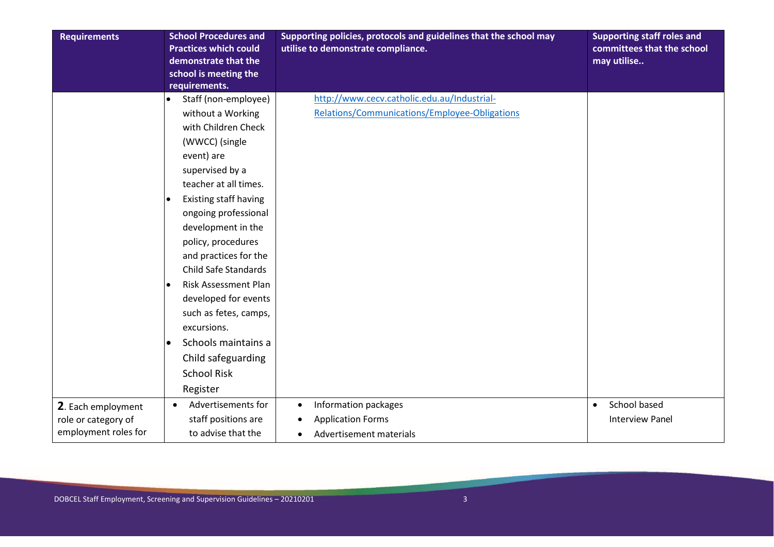| <b>Requirements</b>  | <b>School Procedures and</b>             | Supporting policies, protocols and guidelines that the school may | <b>Supporting staff roles and</b> |
|----------------------|------------------------------------------|-------------------------------------------------------------------|-----------------------------------|
|                      | <b>Practices which could</b>             | utilise to demonstrate compliance.                                | committees that the school        |
|                      | demonstrate that the                     |                                                                   | may utilise                       |
|                      | school is meeting the                    |                                                                   |                                   |
|                      | requirements.                            |                                                                   |                                   |
|                      | Staff (non-employee)<br>$\bullet$        | http://www.cecv.catholic.edu.au/Industrial-                       |                                   |
|                      | without a Working                        | Relations/Communications/Employee-Obligations                     |                                   |
|                      | with Children Check                      |                                                                   |                                   |
|                      | (WWCC) (single                           |                                                                   |                                   |
|                      | event) are                               |                                                                   |                                   |
|                      | supervised by a                          |                                                                   |                                   |
|                      | teacher at all times.                    |                                                                   |                                   |
|                      | Existing staff having<br>$\bullet$       |                                                                   |                                   |
|                      | ongoing professional                     |                                                                   |                                   |
|                      | development in the                       |                                                                   |                                   |
|                      | policy, procedures                       |                                                                   |                                   |
|                      | and practices for the                    |                                                                   |                                   |
|                      | <b>Child Safe Standards</b>              |                                                                   |                                   |
|                      | <b>Risk Assessment Plan</b><br>$\bullet$ |                                                                   |                                   |
|                      | developed for events                     |                                                                   |                                   |
|                      | such as fetes, camps,                    |                                                                   |                                   |
|                      | excursions.                              |                                                                   |                                   |
|                      | Schools maintains a<br>$\bullet$         |                                                                   |                                   |
|                      | Child safeguarding                       |                                                                   |                                   |
|                      | <b>School Risk</b>                       |                                                                   |                                   |
|                      | Register                                 |                                                                   |                                   |
| 2. Each employment   | Advertisements for<br>$\bullet$          | Information packages<br>$\bullet$                                 | School based<br>$\bullet$         |
| role or category of  | staff positions are                      | <b>Application Forms</b>                                          | <b>Interview Panel</b>            |
| employment roles for | to advise that the                       | Advertisement materials<br>$\bullet$                              |                                   |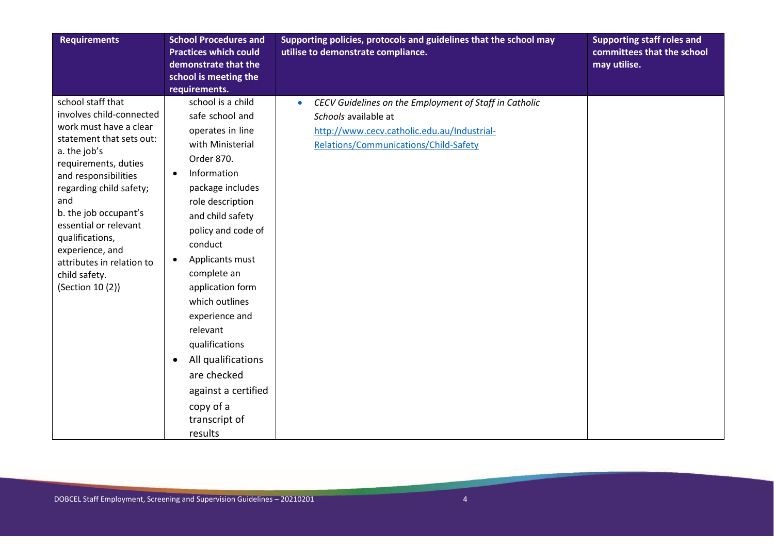| <b>Requirements</b>                                                                                                                                                                                                                                                                                                                                             | <b>School Procedures and</b><br><b>Practices which could</b><br>demonstrate that the<br>school is meeting the<br>requirements.                                                                                                                                                                                                                                                                                                                                | Supporting policies, protocols and guidelines that the school may<br>utilise to demonstrate compliance.                                                                             | <b>Supporting staff roles and</b><br>committees that the school<br>may utilise. |
|-----------------------------------------------------------------------------------------------------------------------------------------------------------------------------------------------------------------------------------------------------------------------------------------------------------------------------------------------------------------|---------------------------------------------------------------------------------------------------------------------------------------------------------------------------------------------------------------------------------------------------------------------------------------------------------------------------------------------------------------------------------------------------------------------------------------------------------------|-------------------------------------------------------------------------------------------------------------------------------------------------------------------------------------|---------------------------------------------------------------------------------|
| school staff that<br>involves child-connected<br>work must have a clear<br>statement that sets out:<br>a. the job's<br>requirements, duties<br>and responsibilities<br>regarding child safety;<br>and<br>b. the job occupant's<br>essential or relevant<br>qualifications,<br>experience, and<br>attributes in relation to<br>child safety.<br>(Section 10 (2)) | school is a child<br>safe school and<br>operates in line<br>with Ministerial<br>Order 870.<br>Information<br>package includes<br>role description<br>and child safety<br>policy and code of<br>conduct<br>Applicants must<br>$\bullet$<br>complete an<br>application form<br>which outlines<br>experience and<br>relevant<br>qualifications<br>All qualifications<br>$\bullet$<br>are checked<br>against a certified<br>copy of a<br>transcript of<br>results | CECV Guidelines on the Employment of Staff in Catholic<br>$\bullet$<br>Schools available at<br>http://www.cecv.catholic.edu.au/Industrial-<br>Relations/Communications/Child-Safety |                                                                                 |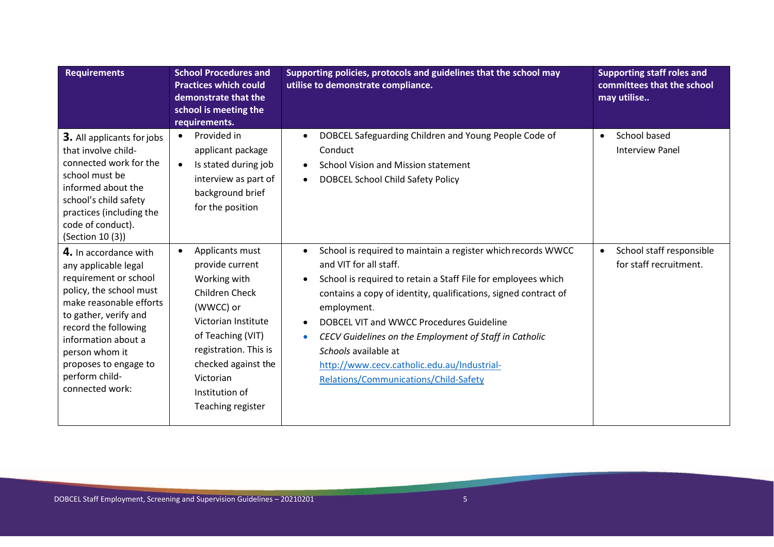| <b>Requirements</b>                                                                                                                                                                                                                                                                  | <b>School Procedures and</b><br><b>Practices which could</b><br>demonstrate that the<br>school is meeting the<br>requirements.                                                                                                    | Supporting policies, protocols and guidelines that the school may<br>utilise to demonstrate compliance.                                                                                                                                                                                                                                                                                                                                                                                                             | <b>Supporting staff roles and</b><br>committees that the school<br>may utilise |
|--------------------------------------------------------------------------------------------------------------------------------------------------------------------------------------------------------------------------------------------------------------------------------------|-----------------------------------------------------------------------------------------------------------------------------------------------------------------------------------------------------------------------------------|---------------------------------------------------------------------------------------------------------------------------------------------------------------------------------------------------------------------------------------------------------------------------------------------------------------------------------------------------------------------------------------------------------------------------------------------------------------------------------------------------------------------|--------------------------------------------------------------------------------|
| <b>3.</b> All applicants for jobs<br>that involve child-<br>connected work for the<br>school must be<br>informed about the<br>school's child safety<br>practices (including the<br>code of conduct).<br>(Section 10 (3))                                                             | Provided in<br>applicant package<br>Is stated during job<br>interview as part of<br>background brief<br>for the position                                                                                                          | DOBCEL Safeguarding Children and Young People Code of<br>$\bullet$<br>Conduct<br><b>School Vision and Mission statement</b><br>$\bullet$<br><b>DOBCEL School Child Safety Policy</b><br>$\bullet$                                                                                                                                                                                                                                                                                                                   | School based<br>$\bullet$<br><b>Interview Panel</b>                            |
| 4. In accordance with<br>any applicable legal<br>requirement or school<br>policy, the school must<br>make reasonable efforts<br>to gather, verify and<br>record the following<br>information about a<br>person whom it<br>proposes to engage to<br>perform child-<br>connected work: | Applicants must<br>provide current<br>Working with<br>Children Check<br>(WWCC) or<br>Victorian Institute<br>of Teaching (VIT)<br>registration. This is<br>checked against the<br>Victorian<br>Institution of<br>Teaching register | School is required to maintain a register which records WWCC<br>$\bullet$<br>and VIT for all staff.<br>School is required to retain a Staff File for employees which<br>$\bullet$<br>contains a copy of identity, qualifications, signed contract of<br>employment.<br>DOBCEL VIT and WWCC Procedures Guideline<br>$\bullet$<br>CECV Guidelines on the Employment of Staff in Catholic<br>$\bullet$<br>Schools available at<br>http://www.cecv.catholic.edu.au/Industrial-<br>Relations/Communications/Child-Safety | School staff responsible<br>$\bullet$<br>for staff recruitment.                |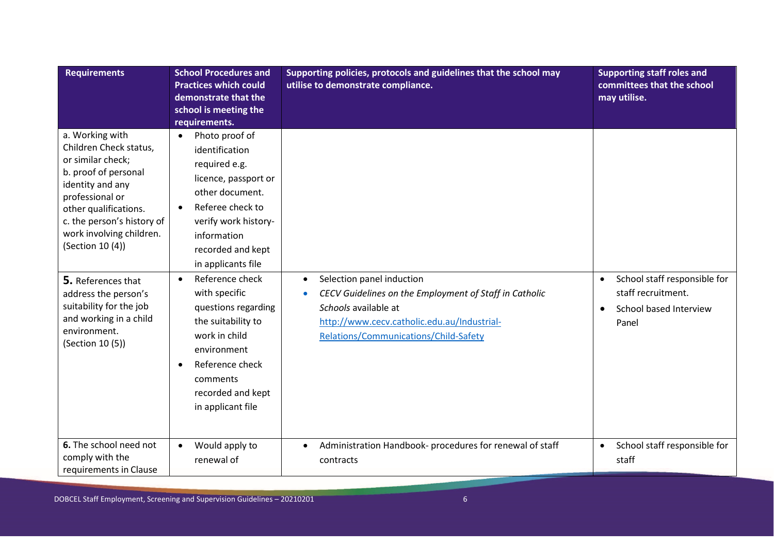| <b>Requirements</b>                                                                                                                                                                                                                                               | <b>School Procedures and</b><br><b>Practices which could</b><br>demonstrate that the<br>school is meeting the<br>requirements.                                                                                                                  | Supporting policies, protocols and guidelines that the school may<br>utilise to demonstrate compliance.                                                                             | <b>Supporting staff roles and</b><br>committees that the school<br>may utilise. |
|-------------------------------------------------------------------------------------------------------------------------------------------------------------------------------------------------------------------------------------------------------------------|-------------------------------------------------------------------------------------------------------------------------------------------------------------------------------------------------------------------------------------------------|-------------------------------------------------------------------------------------------------------------------------------------------------------------------------------------|---------------------------------------------------------------------------------|
| a. Working with<br>Children Check status,<br>or similar check;<br>b. proof of personal<br>identity and any<br>professional or<br>other qualifications.<br>c. the person's history of<br>work involving children.<br>(Section 10 (4))<br><b>5.</b> References that | Photo proof of<br>$\bullet$<br>identification<br>required e.g.<br>licence, passport or<br>other document.<br>Referee check to<br>verify work history-<br>information<br>recorded and kept<br>in applicants file<br>Reference check<br>$\bullet$ | Selection panel induction<br>$\bullet$                                                                                                                                              | School staff responsible for                                                    |
| address the person's<br>suitability for the job<br>and working in a child<br>environment.<br>(Section 10 (5))                                                                                                                                                     | with specific<br>questions regarding<br>the suitability to<br>work in child<br>environment<br>Reference check<br>$\bullet$<br>comments<br>recorded and kept<br>in applicant file                                                                | CECV Guidelines on the Employment of Staff in Catholic<br>$\bullet$<br>Schools available at<br>http://www.cecv.catholic.edu.au/Industrial-<br>Relations/Communications/Child-Safety | staff recruitment.<br>School based Interview<br>$\bullet$<br>Panel              |
| 6. The school need not<br>comply with the<br>requirements in Clause                                                                                                                                                                                               | Would apply to<br>$\bullet$<br>renewal of                                                                                                                                                                                                       | Administration Handbook- procedures for renewal of staff<br>$\bullet$<br>contracts                                                                                                  | School staff responsible for<br>$\bullet$<br>staff                              |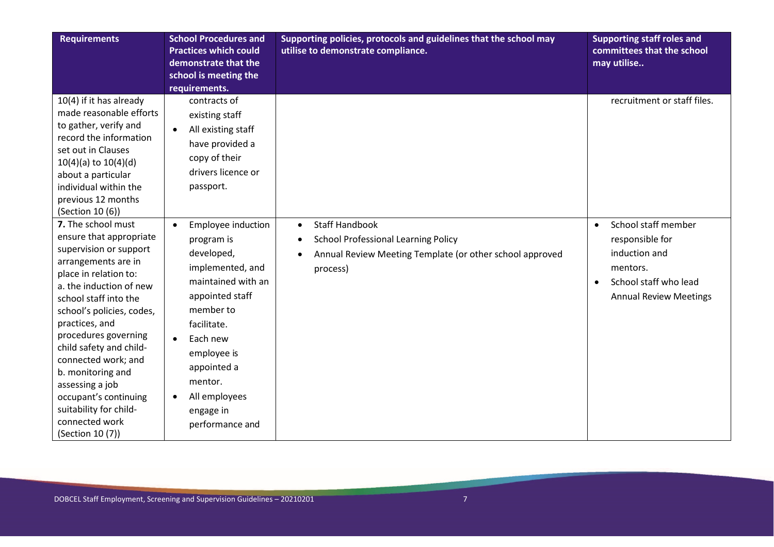| <b>Requirements</b>                                                                                                                                                                                                                                                                                                                                                                                                                   | <b>School Procedures and</b><br><b>Practices which could</b><br>demonstrate that the<br>school is meeting the<br>requirements.                                                                                                                                                       | Supporting policies, protocols and guidelines that the school may<br>utilise to demonstrate compliance.                                                       | <b>Supporting staff roles and</b><br>committees that the school<br>may utilise                                                             |
|---------------------------------------------------------------------------------------------------------------------------------------------------------------------------------------------------------------------------------------------------------------------------------------------------------------------------------------------------------------------------------------------------------------------------------------|--------------------------------------------------------------------------------------------------------------------------------------------------------------------------------------------------------------------------------------------------------------------------------------|---------------------------------------------------------------------------------------------------------------------------------------------------------------|--------------------------------------------------------------------------------------------------------------------------------------------|
| 10(4) if it has already<br>made reasonable efforts<br>to gather, verify and<br>record the information<br>set out in Clauses<br>$10(4)(a)$ to $10(4)(d)$<br>about a particular<br>individual within the<br>previous 12 months<br>(Section 10 (6))                                                                                                                                                                                      | contracts of<br>existing staff<br>All existing staff<br>$\bullet$<br>have provided a<br>copy of their<br>drivers licence or<br>passport.                                                                                                                                             |                                                                                                                                                               | recruitment or staff files.                                                                                                                |
| 7. The school must<br>ensure that appropriate<br>supervision or support<br>arrangements are in<br>place in relation to:<br>a. the induction of new<br>school staff into the<br>school's policies, codes,<br>practices, and<br>procedures governing<br>child safety and child-<br>connected work; and<br>b. monitoring and<br>assessing a job<br>occupant's continuing<br>suitability for child-<br>connected work<br>(Section 10 (7)) | Employee induction<br>$\bullet$<br>program is<br>developed,<br>implemented, and<br>maintained with an<br>appointed staff<br>member to<br>facilitate.<br>Each new<br>$\bullet$<br>employee is<br>appointed a<br>mentor.<br>All employees<br>$\bullet$<br>engage in<br>performance and | <b>Staff Handbook</b><br>$\bullet$<br><b>School Professional Learning Policy</b><br>٠<br>Annual Review Meeting Template (or other school approved<br>process) | School staff member<br>$\bullet$<br>responsible for<br>induction and<br>mentors.<br>School staff who lead<br><b>Annual Review Meetings</b> |